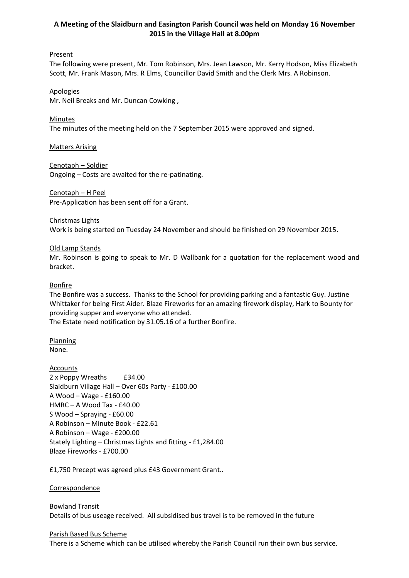# **A Meeting of the Slaidburn and Easington Parish Council was held on Monday 16 November 2015 in the Village Hall at 8.00pm**

# **Present**

The following were present, Mr. Tom Robinson, Mrs. Jean Lawson, Mr. Kerry Hodson, Miss Elizabeth Scott, Mr. Frank Mason, Mrs. R Elms, Councillor David Smith and the Clerk Mrs. A Robinson.

#### Apologies

Mr. Neil Breaks and Mr. Duncan Cowking ,

#### Minutes

The minutes of the meeting held on the 7 September 2015 were approved and signed.

Matters Arising

#### Cenotaph – Soldier

Ongoing – Costs are awaited for the re-patinating.

# Cenotaph – H Peel

Pre-Application has been sent off for a Grant.

# Christmas Lights

Work is being started on Tuesday 24 November and should be finished on 29 November 2015.

# Old Lamp Stands

Mr. Robinson is going to speak to Mr. D Wallbank for a quotation for the replacement wood and bracket.

#### Bonfire

The Bonfire was a success. Thanks to the School for providing parking and a fantastic Guy. Justine Whittaker for being First Aider. Blaze Fireworks for an amazing firework display, Hark to Bounty for providing supper and everyone who attended.

The Estate need notification by 31.05.16 of a further Bonfire.

# Planning

None.

# **Accounts**

2 x Poppy Wreaths £34.00 Slaidburn Village Hall – Over 60s Party - £100.00 A Wood – Wage - £160.00 HMRC – A Wood Tax - £40.00 S Wood – Spraying - £60.00 A Robinson – Minute Book - £22.61 A Robinson – Wage - £200.00 Stately Lighting – Christmas Lights and fitting - £1,284.00 Blaze Fireworks - £700.00

£1,750 Precept was agreed plus £43 Government Grant..

#### **Correspondence**

# Bowland Transit Details of bus useage received. All subsidised bus travel is to be removed in the future

#### Parish Based Bus Scheme

There is a Scheme which can be utilised whereby the Parish Council run their own bus service.